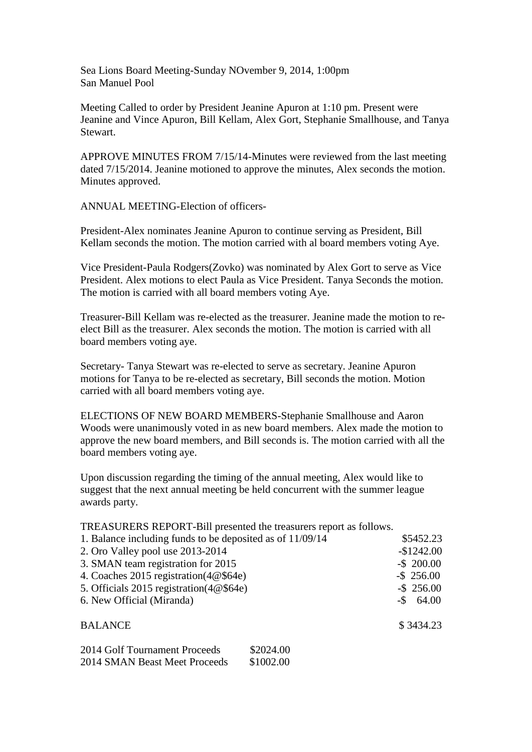Sea Lions Board Meeting-Sunday NOvember 9, 2014, 1:00pm San Manuel Pool

Meeting Called to order by President Jeanine Apuron at 1:10 pm. Present were Jeanine and Vince Apuron, Bill Kellam, Alex Gort, Stephanie Smallhouse, and Tanya Stewart.

APPROVE MINUTES FROM 7/15/14-Minutes were reviewed from the last meeting dated 7/15/2014. Jeanine motioned to approve the minutes, Alex seconds the motion. Minutes approved.

ANNUAL MEETING-Election of officers-

President-Alex nominates Jeanine Apuron to continue serving as President, Bill Kellam seconds the motion. The motion carried with al board members voting Aye.

Vice President-Paula Rodgers(Zovko) was nominated by Alex Gort to serve as Vice President. Alex motions to elect Paula as Vice President. Tanya Seconds the motion. The motion is carried with all board members voting Aye.

Treasurer-Bill Kellam was re-elected as the treasurer. Jeanine made the motion to reelect Bill as the treasurer. Alex seconds the motion. The motion is carried with all board members voting aye.

Secretary- Tanya Stewart was re-elected to serve as secretary. Jeanine Apuron motions for Tanya to be re-elected as secretary, Bill seconds the motion. Motion carried with all board members voting aye.

ELECTIONS OF NEW BOARD MEMBERS-Stephanie Smallhouse and Aaron Woods were unanimously voted in as new board members. Alex made the motion to approve the new board members, and Bill seconds is. The motion carried with all the board members voting aye.

Upon discussion regarding the timing of the annual meeting, Alex would like to suggest that the next annual meeting be held concurrent with the summer league awards party.

TREASURERS REPORT-Bill presented the treasurers report as follows.

| 1. Balance including funds to be deposited as of 11/09/14 | \$5452.23     |
|-----------------------------------------------------------|---------------|
| 2. Oro Valley pool use 2013-2014                          | $-$1242.00$   |
| 3. SMAN team registration for 2015                        | $-$ \$ 200.00 |
| 4. Coaches 2015 registration(4@\$64e)                     | $-$ \$ 256.00 |
| 5. Officials 2015 registration( $4@$64e$ )                | $-$ \$ 256.00 |
| 6. New Official (Miranda)                                 | $-$ \$ 64.00  |
| <b>BALANCE</b>                                            | \$3434.23     |
| \$2024.00<br>2014 Golf Tournament Proceeds                |               |

| 2014 CROIL TOURNament Proceeds | DZUZ4.00  |
|--------------------------------|-----------|
| 2014 SMAN Beast Meet Proceeds  | \$1002.00 |